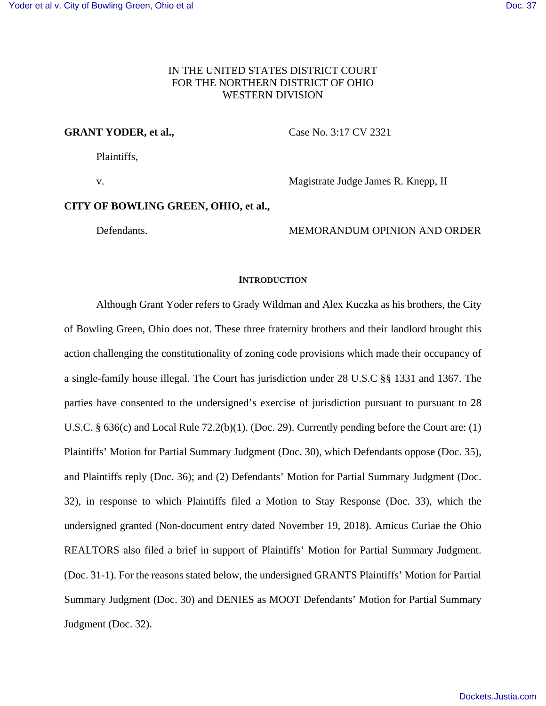# IN THE UNITED STATES DISTRICT COURT FOR THE NORTHERN DISTRICT OF OHIO WESTERN DIVISION

## **GRANT YODER, et al.,** Case No. 3:17 CV 2321

Plaintiffs,

v. Magistrate Judge James R. Knepp, II

## **CITY OF BOWLING GREEN, OHIO, et al.,**

Defendants. MEMORANDUM OPINION AND ORDER

## **INTRODUCTION**

 Although Grant Yoder refers to Grady Wildman and Alex Kuczka as his brothers, the City of Bowling Green, Ohio does not. These three fraternity brothers and their landlord brought this action challenging the constitutionality of zoning code provisions which made their occupancy of a single-family house illegal. The Court has jurisdiction under 28 U.S.C §§ 1331 and 1367. The parties have consented to the undersigned's exercise of jurisdiction pursuant to pursuant to 28 U.S.C. § 636(c) and Local Rule 72.2(b)(1). (Doc. 29). Currently pending before the Court are: (1) Plaintiffs' Motion for Partial Summary Judgment (Doc. 30), which Defendants oppose (Doc. 35), and Plaintiffs reply (Doc. 36); and (2) Defendants' Motion for Partial Summary Judgment (Doc. 32), in response to which Plaintiffs filed a Motion to Stay Response (Doc. 33), which the undersigned granted (Non-document entry dated November 19, 2018). Amicus Curiae the Ohio REALTORS also filed a brief in support of Plaintiffs' Motion for Partial Summary Judgment. (Doc. 31-1). For the reasons stated below, the undersigned GRANTS Plaintiffs' Motion for Partial Summary Judgment (Doc. 30) and DENIES as MOOT Defendants' Motion for Partial Summary Judgment (Doc. 32).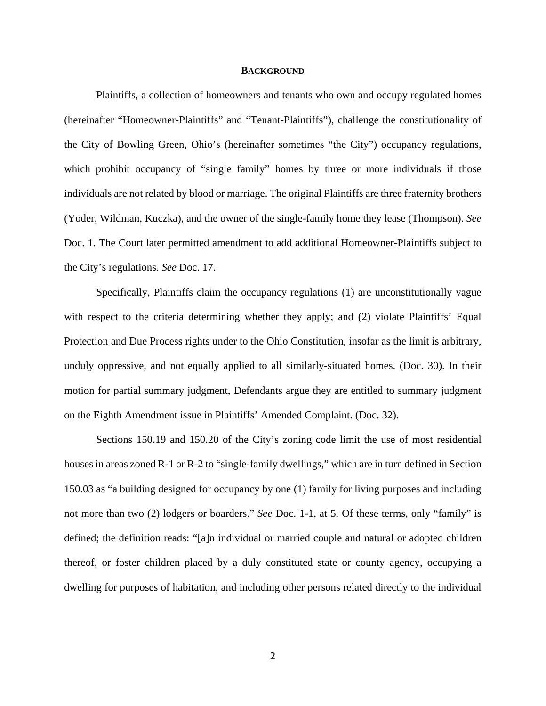### **BACKGROUND**

Plaintiffs, a collection of homeowners and tenants who own and occupy regulated homes (hereinafter "Homeowner-Plaintiffs" and "Tenant-Plaintiffs"), challenge the constitutionality of the City of Bowling Green, Ohio's (hereinafter sometimes "the City") occupancy regulations, which prohibit occupancy of "single family" homes by three or more individuals if those individuals are not related by blood or marriage. The original Plaintiffs are three fraternity brothers (Yoder, Wildman, Kuczka), and the owner of the single-family home they lease (Thompson). *See*  Doc. 1. The Court later permitted amendment to add additional Homeowner-Plaintiffs subject to the City's regulations. *See* Doc. 17.

Specifically, Plaintiffs claim the occupancy regulations (1) are unconstitutionally vague with respect to the criteria determining whether they apply; and (2) violate Plaintiffs' Equal Protection and Due Process rights under to the Ohio Constitution, insofar as the limit is arbitrary, unduly oppressive, and not equally applied to all similarly-situated homes. (Doc. 30). In their motion for partial summary judgment, Defendants argue they are entitled to summary judgment on the Eighth Amendment issue in Plaintiffs' Amended Complaint. (Doc. 32).

Sections 150.19 and 150.20 of the City's zoning code limit the use of most residential houses in areas zoned R-1 or R-2 to "single-family dwellings," which are in turn defined in Section 150.03 as "a building designed for occupancy by one (1) family for living purposes and including not more than two (2) lodgers or boarders." *See* Doc. 1-1, at 5. Of these terms, only "family" is defined; the definition reads: "[a]n individual or married couple and natural or adopted children thereof, or foster children placed by a duly constituted state or county agency, occupying a dwelling for purposes of habitation, and including other persons related directly to the individual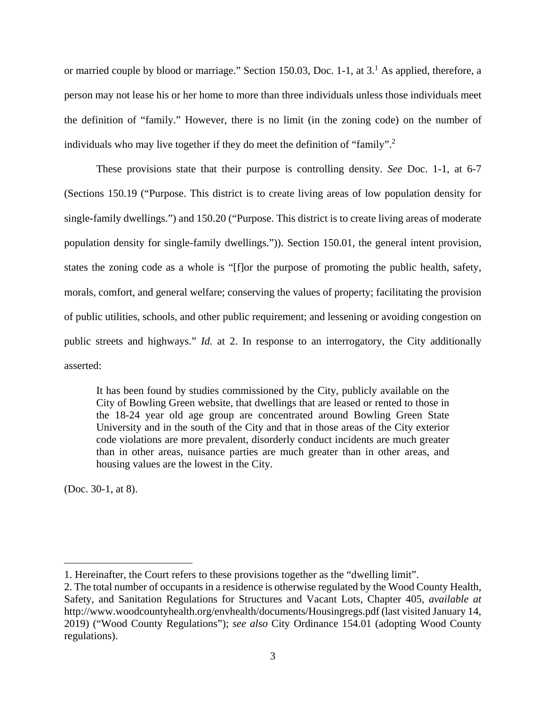or married couple by blood or marriage." Section 150.03, Doc. 1-1, at  $3<sup>1</sup>$  As applied, therefore, a person may not lease his or her home to more than three individuals unless those individuals meet the definition of "family." However, there is no limit (in the zoning code) on the number of individuals who may live together if they do meet the definition of "family".<sup>2</sup>

These provisions state that their purpose is controlling density. *See* Doc. 1-1, at 6-7 (Sections 150.19 ("Purpose. This district is to create living areas of low population density for single-family dwellings.") and 150.20 ("Purpose. This district is to create living areas of moderate population density for single-family dwellings.")). Section 150.01, the general intent provision, states the zoning code as a whole is "[f]or the purpose of promoting the public health, safety, morals, comfort, and general welfare; conserving the values of property; facilitating the provision of public utilities, schools, and other public requirement; and lessening or avoiding congestion on public streets and highways." *Id.* at 2. In response to an interrogatory, the City additionally asserted:

It has been found by studies commissioned by the City, publicly available on the City of Bowling Green website, that dwellings that are leased or rented to those in the 18-24 year old age group are concentrated around Bowling Green State University and in the south of the City and that in those areas of the City exterior code violations are more prevalent, disorderly conduct incidents are much greater than in other areas, nuisance parties are much greater than in other areas, and housing values are the lowest in the City.

(Doc. 30-1, at 8).

<sup>1.</sup> Hereinafter, the Court refers to these provisions together as the "dwelling limit".

<sup>2.</sup> The total number of occupants in a residence is otherwise regulated by the Wood County Health, Safety, and Sanitation Regulations for Structures and Vacant Lots, Chapter 405, *available at*  http://www.woodcountyhealth.org/envhealth/documents/Housingregs.pdf (last visited January 14, 2019) ("Wood County Regulations"); *see also* City Ordinance 154.01 (adopting Wood County regulations).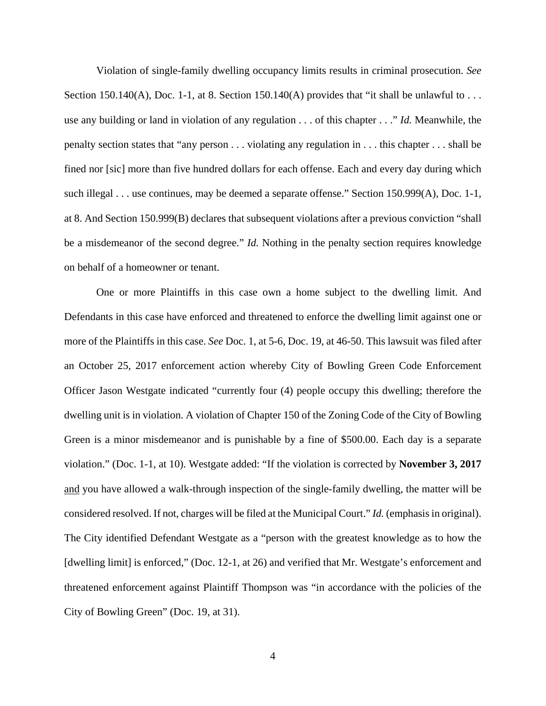Violation of single-family dwelling occupancy limits results in criminal prosecution. *See* Section 150.140(A), Doc. 1-1, at 8. Section 150.140(A) provides that "it shall be unlawful to ... use any building or land in violation of any regulation . . . of this chapter . . ." *Id.* Meanwhile, the penalty section states that "any person . . . violating any regulation in . . . this chapter . . . shall be fined nor [sic] more than five hundred dollars for each offense. Each and every day during which such illegal . . . use continues, may be deemed a separate offense." Section 150.999(A), Doc. 1-1, at 8. And Section 150.999(B) declares that subsequent violations after a previous conviction "shall be a misdemeanor of the second degree." *Id.* Nothing in the penalty section requires knowledge on behalf of a homeowner or tenant.

One or more Plaintiffs in this case own a home subject to the dwelling limit. And Defendants in this case have enforced and threatened to enforce the dwelling limit against one or more of the Plaintiffs in this case. *See* Doc. 1, at 5-6, Doc. 19, at 46-50. This lawsuit was filed after an October 25, 2017 enforcement action whereby City of Bowling Green Code Enforcement Officer Jason Westgate indicated "currently four (4) people occupy this dwelling; therefore the dwelling unit is in violation. A violation of Chapter 150 of the Zoning Code of the City of Bowling Green is a minor misdemeanor and is punishable by a fine of \$500.00. Each day is a separate violation." (Doc. 1-1, at 10). Westgate added: "If the violation is corrected by **November 3, 2017** and you have allowed a walk-through inspection of the single-family dwelling, the matter will be considered resolved. If not, charges will be filed at the Municipal Court." *Id.* (emphasis in original). The City identified Defendant Westgate as a "person with the greatest knowledge as to how the [dwelling limit] is enforced," (Doc. 12-1, at 26) and verified that Mr. Westgate's enforcement and threatened enforcement against Plaintiff Thompson was "in accordance with the policies of the City of Bowling Green" (Doc. 19, at 31).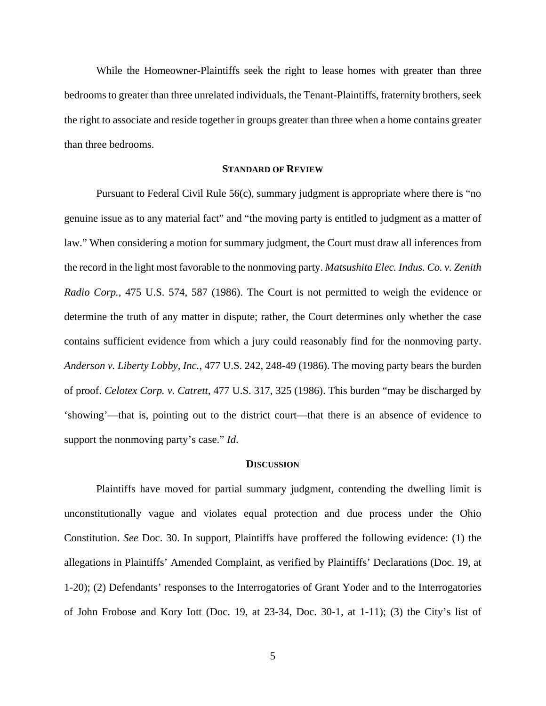While the Homeowner-Plaintiffs seek the right to lease homes with greater than three bedrooms to greater than three unrelated individuals, the Tenant-Plaintiffs, fraternity brothers, seek the right to associate and reside together in groups greater than three when a home contains greater than three bedrooms.

## **STANDARD OF REVIEW**

Pursuant to Federal Civil Rule 56(c), summary judgment is appropriate where there is "no genuine issue as to any material fact" and "the moving party is entitled to judgment as a matter of law." When considering a motion for summary judgment, the Court must draw all inferences from the record in the light most favorable to the nonmoving party. *Matsushita Elec. Indus. Co. v. Zenith Radio Corp.*, 475 U.S. 574, 587 (1986). The Court is not permitted to weigh the evidence or determine the truth of any matter in dispute; rather, the Court determines only whether the case contains sufficient evidence from which a jury could reasonably find for the nonmoving party. *Anderson v. Liberty Lobby, Inc.*, 477 U.S. 242, 248-49 (1986). The moving party bears the burden of proof. *Celotex Corp. v. Catrett*, 477 U.S. 317, 325 (1986). This burden "may be discharged by 'showing'—that is, pointing out to the district court—that there is an absence of evidence to support the nonmoving party's case." *Id*.

#### **DISCUSSION**

Plaintiffs have moved for partial summary judgment, contending the dwelling limit is unconstitutionally vague and violates equal protection and due process under the Ohio Constitution. *See* Doc. 30. In support, Plaintiffs have proffered the following evidence: (1) the allegations in Plaintiffs' Amended Complaint, as verified by Plaintiffs' Declarations (Doc. 19, at 1-20); (2) Defendants' responses to the Interrogatories of Grant Yoder and to the Interrogatories of John Frobose and Kory Iott (Doc. 19, at 23-34, Doc. 30-1, at 1-11); (3) the City's list of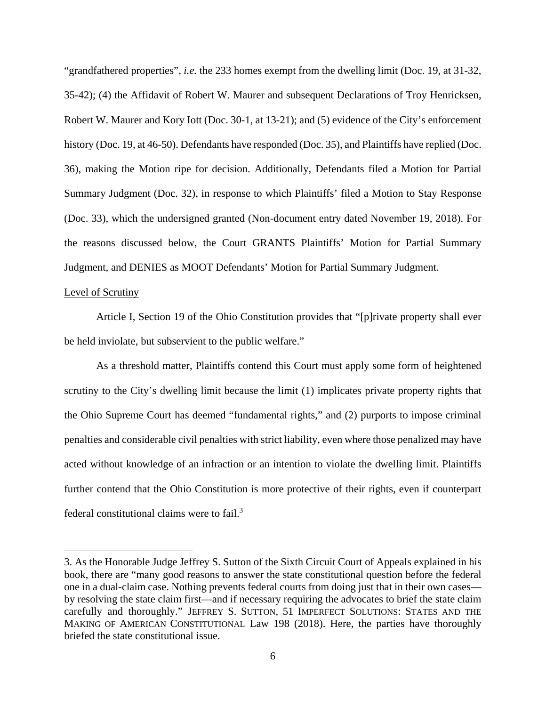"grandfathered properties", *i.e.* the 233 homes exempt from the dwelling limit (Doc. 19, at 31-32, 35-42); (4) the Affidavit of Robert W. Maurer and subsequent Declarations of Troy Henricksen, Robert W. Maurer and Kory Iott (Doc. 30-1, at 13-21); and (5) evidence of the City's enforcement history (Doc. 19, at 46-50). Defendants have responded (Doc. 35), and Plaintiffs have replied (Doc. 36), making the Motion ripe for decision. Additionally, Defendants filed a Motion for Partial Summary Judgment (Doc. 32), in response to which Plaintiffs' filed a Motion to Stay Response (Doc. 33), which the undersigned granted (Non-document entry dated November 19, 2018). For the reasons discussed below, the Court GRANTS Plaintiffs' Motion for Partial Summary Judgment, and DENIES as MOOT Defendants' Motion for Partial Summary Judgment.

## Level of Scrutiny

 Article I, Section 19 of the Ohio Constitution provides that "[p]rivate property shall ever be held inviolate, but subservient to the public welfare."

As a threshold matter, Plaintiffs contend this Court must apply some form of heightened scrutiny to the City's dwelling limit because the limit (1) implicates private property rights that the Ohio Supreme Court has deemed "fundamental rights," and (2) purports to impose criminal penalties and considerable civil penalties with strict liability, even where those penalized may have acted without knowledge of an infraction or an intention to violate the dwelling limit. Plaintiffs further contend that the Ohio Constitution is more protective of their rights, even if counterpart federal constitutional claims were to fail.<sup>3</sup>

<sup>3.</sup> As the Honorable Judge Jeffrey S. Sutton of the Sixth Circuit Court of Appeals explained in his book, there are "many good reasons to answer the state constitutional question before the federal one in a dual-claim case. Nothing prevents federal courts from doing just that in their own cases by resolving the state claim first—and if necessary requiring the advocates to brief the state claim carefully and thoroughly." JEFFREY S. SUTTON, 51 IMPERFECT SOLUTIONS: STATES AND THE MAKING OF AMERICAN CONSTITUTIONAL Law 198 (2018). Here, the parties have thoroughly briefed the state constitutional issue.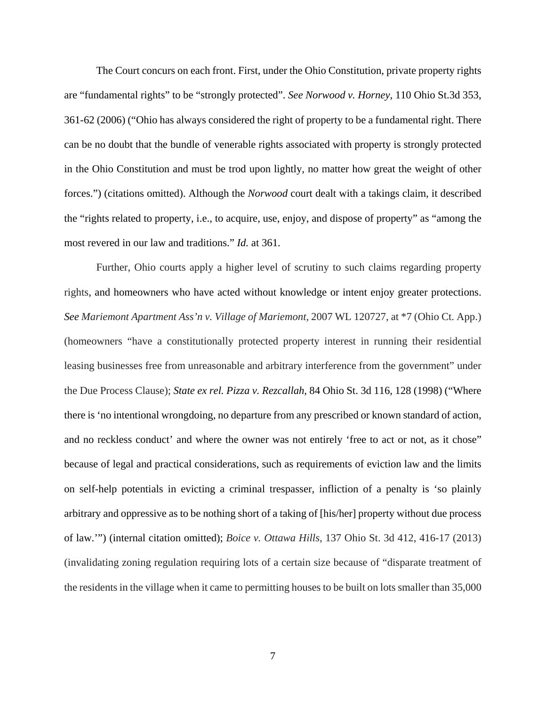The Court concurs on each front. First, under the Ohio Constitution, private property rights are "fundamental rights" to be "strongly protected". *See Norwood v. Horney,* 110 Ohio St.3d 353, 361-62 (2006) ("Ohio has always considered the right of property to be a fundamental right. There can be no doubt that the bundle of venerable rights associated with property is strongly protected in the Ohio Constitution and must be trod upon lightly, no matter how great the weight of other forces.") (citations omitted). Although the *Norwood* court dealt with a takings claim, it described the "rights related to property, i.e., to acquire, use, enjoy, and dispose of property" as "among the most revered in our law and traditions." *Id.* at 361.

Further, Ohio courts apply a higher level of scrutiny to such claims regarding property rights, and homeowners who have acted without knowledge or intent enjoy greater protections. *See Mariemont Apartment Ass'n v. Village of Mariemont,* 2007 WL 120727, at \*7 (Ohio Ct. App.) (homeowners "have a constitutionally protected property interest in running their residential leasing businesses free from unreasonable and arbitrary interference from the government" under the Due Process Clause); *State ex rel. Pizza v. Rezcallah*, 84 Ohio St. 3d 116, 128 (1998) ("Where there is 'no intentional wrongdoing, no departure from any prescribed or known standard of action, and no reckless conduct' and where the owner was not entirely 'free to act or not, as it chose" because of legal and practical considerations, such as requirements of eviction law and the limits on self-help potentials in evicting a criminal trespasser, infliction of a penalty is 'so plainly arbitrary and oppressive as to be nothing short of a taking of [his/her] property without due process of law.'") (internal citation omitted); *Boice v. Ottawa Hills,* 137 Ohio St. 3d 412, 416-17 (2013) (invalidating zoning regulation requiring lots of a certain size because of "disparate treatment of the residents in the village when it came to permitting houses to be built on lots smaller than 35,000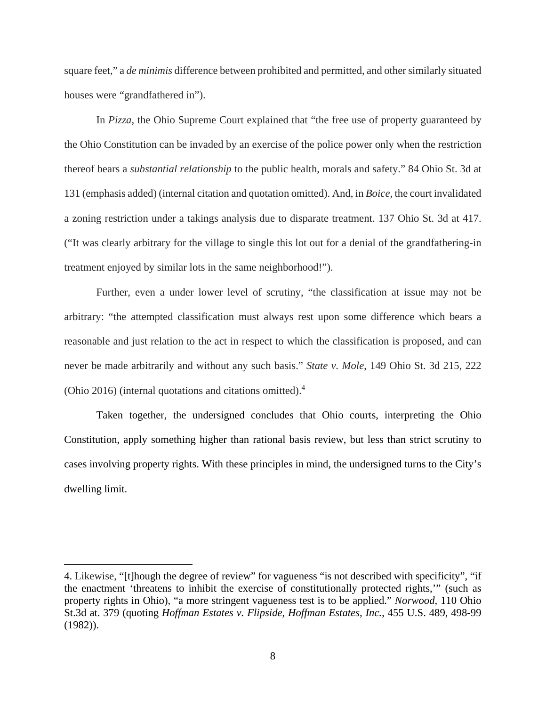square feet," a *de minimis* difference between prohibited and permitted, and other similarly situated houses were "grandfathered in").

In *Pizza*, the Ohio Supreme Court explained that "the free use of property guaranteed by the Ohio Constitution can be invaded by an exercise of the police power only when the restriction thereof bears a *substantial relationship* to the public health, morals and safety." 84 Ohio St. 3d at 131 (emphasis added) (internal citation and quotation omitted). And, in *Boice*, the court invalidated a zoning restriction under a takings analysis due to disparate treatment. 137 Ohio St. 3d at 417. ("It was clearly arbitrary for the village to single this lot out for a denial of the grandfathering-in treatment enjoyed by similar lots in the same neighborhood!").

Further, even a under lower level of scrutiny, "the classification at issue may not be arbitrary: "the attempted classification must always rest upon some difference which bears a reasonable and just relation to the act in respect to which the classification is proposed, and can never be made arbitrarily and without any such basis." *State v. Mole*, 149 Ohio St. 3d 215, 222 (Ohio 2016) (internal quotations and citations omitted).<sup>4</sup>

Taken together, the undersigned concludes that Ohio courts, interpreting the Ohio Constitution, apply something higher than rational basis review, but less than strict scrutiny to cases involving property rights. With these principles in mind, the undersigned turns to the City's dwelling limit.

<sup>4.</sup> Likewise, "[t]hough the degree of review" for vagueness "is not described with specificity", "if the enactment 'threatens to inhibit the exercise of constitutionally protected rights,'" (such as property rights in Ohio), "a more stringent vagueness test is to be applied." *Norwood,* 110 Ohio St.3d at. 379 (quoting *Hoffman Estates v. Flipside, Hoffman Estates, Inc.*, 455 U.S. 489, 498-99 (1982)).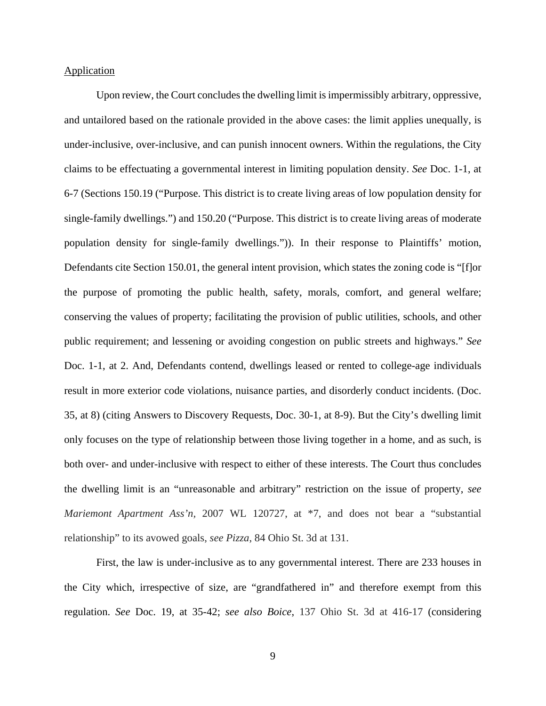#### **Application**

 Upon review, the Court concludes the dwelling limit is impermissibly arbitrary, oppressive, and untailored based on the rationale provided in the above cases: the limit applies unequally, is under-inclusive, over-inclusive, and can punish innocent owners. Within the regulations, the City claims to be effectuating a governmental interest in limiting population density. *See* Doc. 1-1, at 6-7 (Sections 150.19 ("Purpose. This district is to create living areas of low population density for single-family dwellings.") and 150.20 ("Purpose. This district is to create living areas of moderate population density for single-family dwellings.")). In their response to Plaintiffs' motion, Defendants cite Section 150.01, the general intent provision, which states the zoning code is "[f]or the purpose of promoting the public health, safety, morals, comfort, and general welfare; conserving the values of property; facilitating the provision of public utilities, schools, and other public requirement; and lessening or avoiding congestion on public streets and highways." *See* Doc. 1-1, at 2. And, Defendants contend, dwellings leased or rented to college-age individuals result in more exterior code violations, nuisance parties, and disorderly conduct incidents. (Doc. 35, at 8) (citing Answers to Discovery Requests, Doc. 30-1, at 8-9). But the City's dwelling limit only focuses on the type of relationship between those living together in a home, and as such, is both over- and under-inclusive with respect to either of these interests. The Court thus concludes the dwelling limit is an "unreasonable and arbitrary" restriction on the issue of property, *see Mariemont Apartment Ass'n,* 2007 WL 120727, at \*7, and does not bear a "substantial relationship" to its avowed goals, *see Pizza*, 84 Ohio St. 3d at 131.

First, the law is under-inclusive as to any governmental interest. There are 233 houses in the City which, irrespective of size, are "grandfathered in" and therefore exempt from this regulation. *See* Doc. 19, at 35-42; *see also Boice*, 137 Ohio St. 3d at 416-17 (considering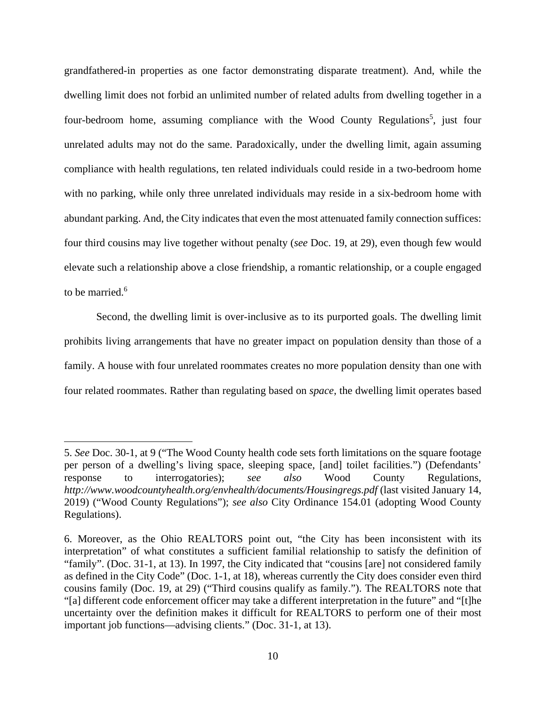grandfathered-in properties as one factor demonstrating disparate treatment). And, while the dwelling limit does not forbid an unlimited number of related adults from dwelling together in a four-bedroom home, assuming compliance with the Wood County Regulations<sup>5</sup>, just four unrelated adults may not do the same. Paradoxically, under the dwelling limit, again assuming compliance with health regulations, ten related individuals could reside in a two-bedroom home with no parking, while only three unrelated individuals may reside in a six-bedroom home with abundant parking. And, the City indicates that even the most attenuated family connection suffices: four third cousins may live together without penalty (*see* Doc. 19, at 29), even though few would elevate such a relationship above a close friendship, a romantic relationship, or a couple engaged to be married.<sup>6</sup>

Second, the dwelling limit is over-inclusive as to its purported goals. The dwelling limit prohibits living arrangements that have no greater impact on population density than those of a family. A house with four unrelated roommates creates no more population density than one with four related roommates. Rather than regulating based on *space*, the dwelling limit operates based

<sup>5.</sup> *See* Doc. 30-1, at 9 ("The Wood County health code sets forth limitations on the square footage per person of a dwelling's living space, sleeping space, [and] toilet facilities.") (Defendants' response to interrogatories); *see also* Wood County Regulations, *http://www.woodcountyhealth.org/envhealth/documents/Housingregs.pdf* (last visited January 14, 2019) ("Wood County Regulations"); *see also* City Ordinance 154.01 (adopting Wood County Regulations).

<sup>6.</sup> Moreover, as the Ohio REALTORS point out, "the City has been inconsistent with its interpretation" of what constitutes a sufficient familial relationship to satisfy the definition of "family". (Doc. 31-1, at 13). In 1997, the City indicated that "cousins [are] not considered family as defined in the City Code" (Doc. 1-1, at 18), whereas currently the City does consider even third cousins family (Doc. 19, at 29) ("Third cousins qualify as family."). The REALTORS note that "[a] different code enforcement officer may take a different interpretation in the future" and "[t]he uncertainty over the definition makes it difficult for REALTORS to perform one of their most important job functions—advising clients." (Doc. 31-1, at 13).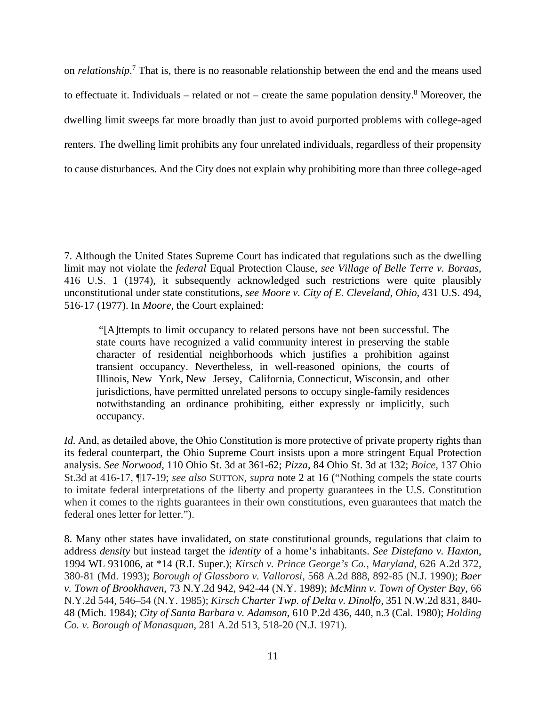on *relationship*. 7 That is, there is no reasonable relationship between the end and the means used to effectuate it. Individuals – related or not – create the same population density.<sup>8</sup> Moreover, the dwelling limit sweeps far more broadly than just to avoid purported problems with college-aged renters. The dwelling limit prohibits any four unrelated individuals, regardless of their propensity to cause disturbances. And the City does not explain why prohibiting more than three college-aged

<sup>7.</sup> Although the United States Supreme Court has indicated that regulations such as the dwelling limit may not violate the *federal* Equal Protection Clause, *see Village of Belle Terre v. Boraas*, 416 U.S. 1 (1974), it subsequently acknowledged such restrictions were quite plausibly unconstitutional under state constitutions, *see Moore v. City of E. Cleveland, Ohio,* 431 U.S. 494, 516-17 (1977). In *Moore*, the Court explained:

 <sup>&</sup>quot;[A]ttempts to limit occupancy to related persons have not been successful. The state courts have recognized a valid community interest in preserving the stable character of residential neighborhoods which justifies a prohibition against transient occupancy. Nevertheless, in well-reasoned opinions, the courts of Illinois, New York, New Jersey, California, Connecticut, Wisconsin, and other jurisdictions, have permitted unrelated persons to occupy single-family residences notwithstanding an ordinance prohibiting, either expressly or implicitly, such occupancy.

*Id.* And, as detailed above, the Ohio Constitution is more protective of private property rights than its federal counterpart, the Ohio Supreme Court insists upon a more stringent Equal Protection analysis. *See Norwood,* 110 Ohio St. 3d at 361-62; *Pizza*, 84 Ohio St. 3d at 132; *Boice,* 137 Ohio St.3d at 416-17, ¶17-19; *see also* SUTTON, *supra* note 2 at 16 ("Nothing compels the state courts to imitate federal interpretations of the liberty and property guarantees in the U.S. Constitution when it comes to the rights guarantees in their own constitutions, even guarantees that match the federal ones letter for letter.").

<sup>8.</sup> Many other states have invalidated, on state constitutional grounds, regulations that claim to address *density* but instead target the *identity* of a home's inhabitants. *See Distefano v. Haxton*, 1994 WL 931006, at \*14 (R.I. Super.); *Kirsch v. Prince George's Co., Maryland,* 626 A.2d 372, 380-81 (Md. 1993); *Borough of Glassboro v. Vallorosi*, 568 A.2d 888, 892-85 (N.J. 1990); *Baer v. Town of Brookhaven*, 73 N.Y.2d 942, 942-44 (N.Y. 1989); *McMinn v. Town of Oyster Bay*, 66 N.Y.2d 544, 546–54 (N.Y. 1985); *Kirsch Charter Twp. of Delta v. Dinolfo,* 351 N.W.2d 831, 840- 48 (Mich. 1984); *City of Santa Barbara v. Adamson*, 610 P.2d 436, 440, n.3 (Cal. 1980); *Holding Co. v. Borough of Manasquan*, 281 A.2d 513, 518-20 (N.J. 1971).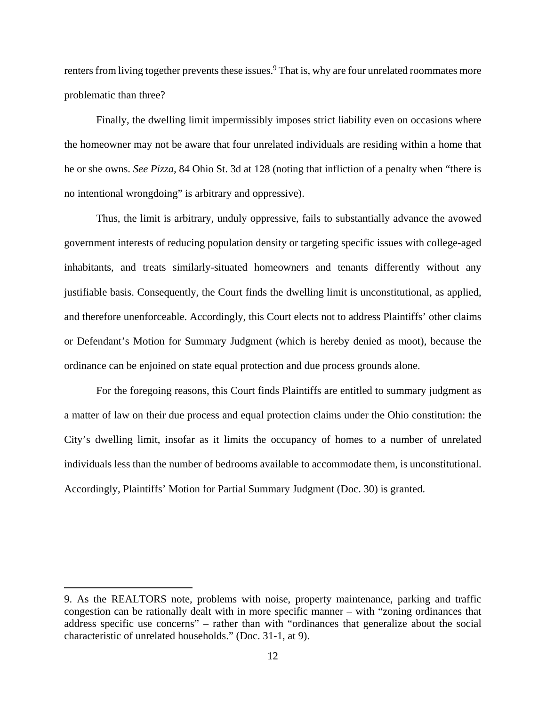renters from living together prevents these issues.<sup>9</sup> That is, why are four unrelated roommates more problematic than three?

Finally, the dwelling limit impermissibly imposes strict liability even on occasions where the homeowner may not be aware that four unrelated individuals are residing within a home that he or she owns. *See Pizza,* 84 Ohio St. 3d at 128 (noting that infliction of a penalty when "there is no intentional wrongdoing" is arbitrary and oppressive).

Thus, the limit is arbitrary, unduly oppressive, fails to substantially advance the avowed government interests of reducing population density or targeting specific issues with college-aged inhabitants, and treats similarly-situated homeowners and tenants differently without any justifiable basis. Consequently, the Court finds the dwelling limit is unconstitutional, as applied, and therefore unenforceable. Accordingly, this Court elects not to address Plaintiffs' other claims or Defendant's Motion for Summary Judgment (which is hereby denied as moot), because the ordinance can be enjoined on state equal protection and due process grounds alone.

For the foregoing reasons, this Court finds Plaintiffs are entitled to summary judgment as a matter of law on their due process and equal protection claims under the Ohio constitution: the City's dwelling limit, insofar as it limits the occupancy of homes to a number of unrelated individuals less than the number of bedrooms available to accommodate them, is unconstitutional. Accordingly, Plaintiffs' Motion for Partial Summary Judgment (Doc. 30) is granted.

<sup>9.</sup> As the REALTORS note, problems with noise, property maintenance, parking and traffic congestion can be rationally dealt with in more specific manner – with "zoning ordinances that address specific use concerns" – rather than with "ordinances that generalize about the social characteristic of unrelated households." (Doc. 31-1, at 9).